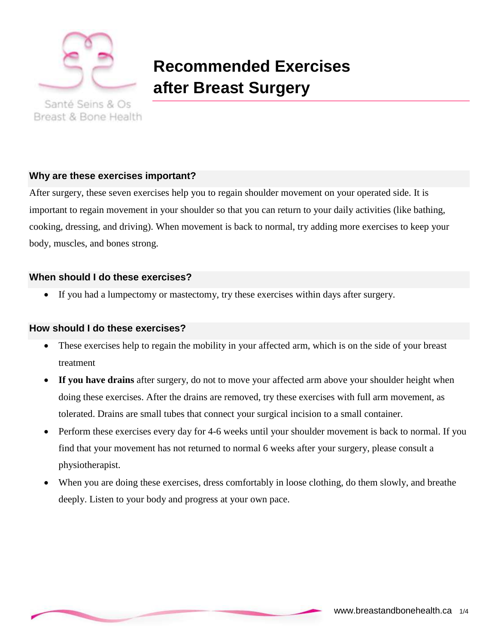

Breast & Bone Health

# **Recommended Exercises after Breast Surgery**

**Why are these exercises important?**

After surgery, these seven exercises help you to regain shoulder movement on your operated side. It is important to regain movement in your shoulder so that you can return to your daily activities (like bathing, cooking, dressing, and driving). When movement is back to normal, try adding more exercises to keep your body, muscles, and bones strong.

## **When should I do these exercises?**

If you had a lumpectomy or mastectomy, try these exercises within days after surgery.

#### **How should I do these exercises?**

- These exercises help to regain the mobility in your affected arm, which is on the side of your breast treatment
- **If you have drains** after surgery, do not to move your affected arm above your shoulder height when doing these exercises. After the drains are removed, try these exercises with full arm movement, as tolerated. Drains are small tubes that connect your surgical incision to a small container.
- Perform these exercises every day for 4-6 weeks until your shoulder movement is back to normal. If you find that your movement has not returned to normal 6 weeks after your surgery, please consult a physiotherapist.
- When you are doing these exercises, dress comfortably in loose clothing, do them slowly, and breathe deeply. Listen to your body and progress at your own pace.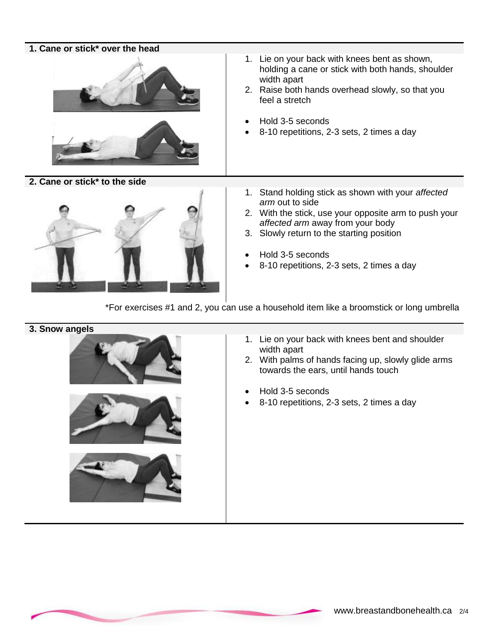#### **1. Cane or stick\* over the head**



**2. Cane or stick\* to the side**



- 1. Lie on your back with knees bent as shown, holding a cane or stick with both hands, shoulder width apart
- 2. Raise both hands overhead slowly, so that you feel a stretch
- Hold 3-5 seconds
- 8-10 repetitions, 2-3 sets, 2 times a day
- 1. Stand holding stick as shown with your *affected arm* out to side
- 2. With the stick, use your opposite arm to push your *affected arm* away from your body
- 3. Slowly return to the starting position
- Hold 3-5 seconds
- 8-10 repetitions, 2-3 sets, 2 times a day

\*For exercises #1 and 2, you can use a household item like a broomstick or long umbrella

#### **3. Snow angels**







- 1. Lie on your back with knees bent and shoulder width apart
- 2. With palms of hands facing up, slowly glide arms towards the ears, until hands touch
- Hold 3-5 seconds
- 8-10 repetitions, 2-3 sets, 2 times a day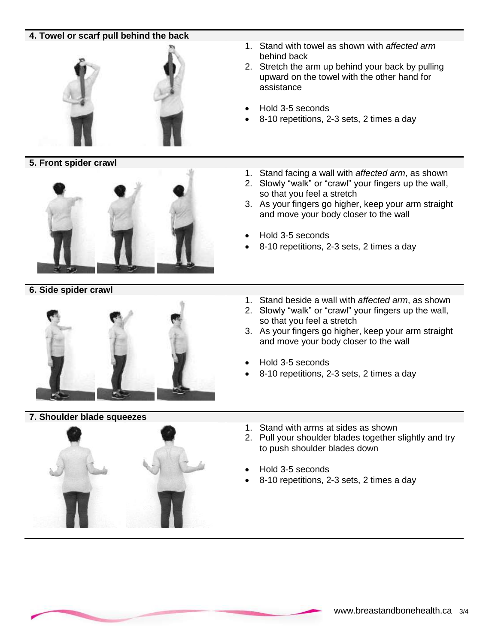| 4. Towel or scarf pull behind the back |                                                                                                                                                                                                                                                                                                                |
|----------------------------------------|----------------------------------------------------------------------------------------------------------------------------------------------------------------------------------------------------------------------------------------------------------------------------------------------------------------|
|                                        | 1. Stand with towel as shown with affected arm<br>behind back<br>2. Stretch the arm up behind your back by pulling<br>upward on the towel with the other hand for<br>assistance<br>Hold 3-5 seconds<br>8-10 repetitions, 2-3 sets, 2 times a day                                                               |
| 5. Front spider crawl                  |                                                                                                                                                                                                                                                                                                                |
|                                        | Stand facing a wall with affected arm, as shown<br>1.<br>2. Slowly "walk" or "crawl" your fingers up the wall,<br>so that you feel a stretch<br>3. As your fingers go higher, keep your arm straight<br>and move your body closer to the wall<br>Hold 3-5 seconds<br>8-10 repetitions, 2-3 sets, 2 times a day |
| 6. Side spider crawl                   |                                                                                                                                                                                                                                                                                                                |
|                                        | 1. Stand beside a wall with affected arm, as shown<br>2. Slowly "walk" or "crawl" your fingers up the wall,<br>so that you feel a stretch<br>3. As your fingers go higher, keep your arm straight<br>and move your body closer to the wall<br>Hold 3-5 seconds<br>8-10 repetitions, 2-3 sets, 2 times a day    |
| 7. Shoulder blade squeezes             |                                                                                                                                                                                                                                                                                                                |
|                                        | Stand with arms at sides as shown<br>1.<br>2. Pull your shoulder blades together slightly and try<br>to push shoulder blades down<br>Hold 3-5 seconds<br>8-10 repetitions, 2-3 sets, 2 times a day                                                                                                             |